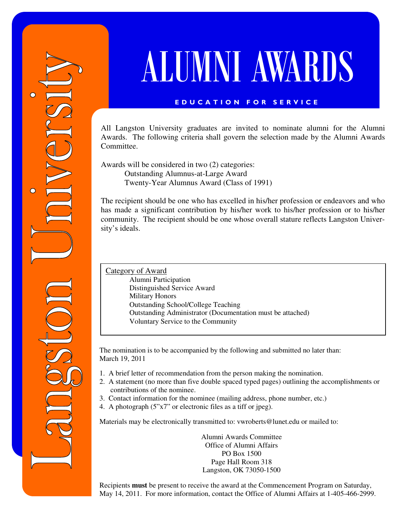# ALUMNI AWARDS

## E D U C A T I O N F O R S E R V I C E

All Langston University graduates are invited to nominate alumni for the Alumni Awards. The following criteria shall govern the selection made by the Alumni Awards Committee.

Awards will be considered in two (2) categories: Outstanding Alumnus-at-Large Award Twenty-Year Alumnus Award (Class of 1991)

The recipient should be one who has excelled in his/her profession or endeavors and who has made a significant contribution by his/her work to his/her profession or to his/her community. The recipient should be one whose overall stature reflects Langston University's ideals.

Category of Award

 Alumni Participation Distinguished Service Award Military Honors Outstanding School/College Teaching Outstanding Administrator (Documentation must be attached) Voluntary Service to the Community

The nomination is to be accompanied by the following and submitted no later than: March 19, 2011

- 1. A brief letter of recommendation from the person making the nomination.
- 2. A statement (no more than five double spaced typed pages) outlining the accomplishments or contributions of the nominee.
- 3. Contact information for the nominee (mailing address, phone number, etc.)
- 4. A photograph (5"x7" or electronic files as a tiff or jpeg).

Materials may be electronically transmitted to: vwroberts@lunet.edu or mailed to:

Alumni Awards Committee Office of Alumni Affairs PO Box 1500 Page Hall Room 318 Langston, OK 73050-1500

Recipients **must** be present to receive the award at the Commencement Program on Saturday, May 14, 2011. For more information, contact the Office of Alumni Affairs at 1-405-466-2999.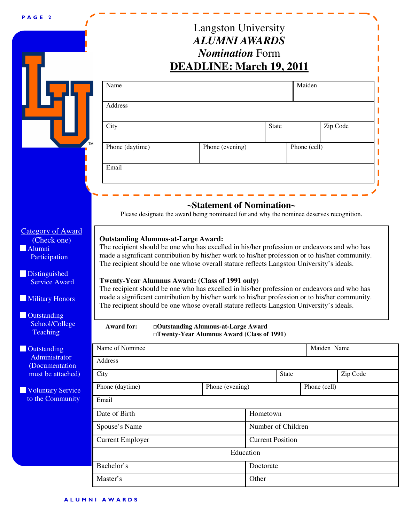### P A G E 2

## Langston University *ALUMNI AWARDS Nomination* Form

I

|                                                                                                                                                                                    |                                                                                                                                                                                                                                                                                                                                                                                                                                                                                                                                                                                                                                                                                                              | <b>DEADLINE: March 19, 2011</b>                                                   |                         |       |              |          |
|------------------------------------------------------------------------------------------------------------------------------------------------------------------------------------|--------------------------------------------------------------------------------------------------------------------------------------------------------------------------------------------------------------------------------------------------------------------------------------------------------------------------------------------------------------------------------------------------------------------------------------------------------------------------------------------------------------------------------------------------------------------------------------------------------------------------------------------------------------------------------------------------------------|-----------------------------------------------------------------------------------|-------------------------|-------|--------------|----------|
|                                                                                                                                                                                    | Name                                                                                                                                                                                                                                                                                                                                                                                                                                                                                                                                                                                                                                                                                                         |                                                                                   |                         |       | Maiden       |          |
|                                                                                                                                                                                    | Address                                                                                                                                                                                                                                                                                                                                                                                                                                                                                                                                                                                                                                                                                                      |                                                                                   |                         |       |              |          |
|                                                                                                                                                                                    | City                                                                                                                                                                                                                                                                                                                                                                                                                                                                                                                                                                                                                                                                                                         |                                                                                   | <b>State</b>            |       |              | Zip Code |
|                                                                                                                                                                                    | TM<br>Phone (daytime)                                                                                                                                                                                                                                                                                                                                                                                                                                                                                                                                                                                                                                                                                        | Phone (evening)                                                                   |                         |       | Phone (cell) |          |
|                                                                                                                                                                                    | Email                                                                                                                                                                                                                                                                                                                                                                                                                                                                                                                                                                                                                                                                                                        |                                                                                   |                         |       |              |          |
|                                                                                                                                                                                    |                                                                                                                                                                                                                                                                                                                                                                                                                                                                                                                                                                                                                                                                                                              |                                                                                   |                         |       |              |          |
|                                                                                                                                                                                    | Please designate the award being nominated for and why the nominee deserves recognition.                                                                                                                                                                                                                                                                                                                                                                                                                                                                                                                                                                                                                     | ~Statement of Nomination~                                                         |                         |       |              |          |
| <b>Category of Award</b><br>(Check one)<br>Alumni<br>Participation<br>Distinguished<br><b>Service Award</b><br>Military Honors<br><b>Outstanding</b><br>School/College<br>Teaching | <b>Outstanding Alumnus-at-Large Award:</b><br>The recipient should be one who has excelled in his/her profession or endeavors and who has<br>made a significant contribution by his/her work to his/her profession or to his/her community.<br>The recipient should be one whose overall stature reflects Langston University's ideals.<br>Twenty-Year Alumnus Award: (Class of 1991 only)<br>The recipient should be one who has excelled in his/her profession or endeavors and who has<br>made a significant contribution by his/her work to his/her profession or to his/her community.<br>The recipient should be one whose overall stature reflects Langston University's ideals.<br><b>Award for:</b> | □Outstanding Alumnus-at-Large Award<br>□Twenty-Year Alumnus Award (Class of 1991) |                         |       |              |          |
| Outstanding                                                                                                                                                                        | Name of Nominee                                                                                                                                                                                                                                                                                                                                                                                                                                                                                                                                                                                                                                                                                              |                                                                                   |                         |       | Maiden Name  |          |
| Administrator<br>(Documentation<br>must be attached)                                                                                                                               | Address<br>City                                                                                                                                                                                                                                                                                                                                                                                                                                                                                                                                                                                                                                                                                              |                                                                                   |                         | State |              | Zip Code |
|                                                                                                                                                                                    | Phone (daytime)                                                                                                                                                                                                                                                                                                                                                                                                                                                                                                                                                                                                                                                                                              | Phone (evening)                                                                   |                         |       | Phone (cell) |          |
| <b>Voluntary Service</b><br>to the Community                                                                                                                                       | Email                                                                                                                                                                                                                                                                                                                                                                                                                                                                                                                                                                                                                                                                                                        |                                                                                   |                         |       |              |          |
|                                                                                                                                                                                    | Date of Birth                                                                                                                                                                                                                                                                                                                                                                                                                                                                                                                                                                                                                                                                                                |                                                                                   | Hometown                |       |              |          |
|                                                                                                                                                                                    | Spouse's Name                                                                                                                                                                                                                                                                                                                                                                                                                                                                                                                                                                                                                                                                                                |                                                                                   | Number of Children      |       |              |          |
|                                                                                                                                                                                    | <b>Current Employer</b>                                                                                                                                                                                                                                                                                                                                                                                                                                                                                                                                                                                                                                                                                      |                                                                                   | <b>Current Position</b> |       |              |          |
|                                                                                                                                                                                    |                                                                                                                                                                                                                                                                                                                                                                                                                                                                                                                                                                                                                                                                                                              |                                                                                   | Education               |       |              |          |
|                                                                                                                                                                                    | Bachelor's                                                                                                                                                                                                                                                                                                                                                                                                                                                                                                                                                                                                                                                                                                   |                                                                                   | Doctorate               |       |              |          |
|                                                                                                                                                                                    | Master's                                                                                                                                                                                                                                                                                                                                                                                                                                                                                                                                                                                                                                                                                                     |                                                                                   | Other                   |       |              |          |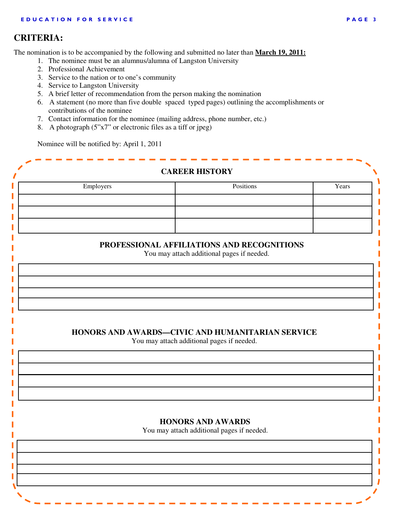## **CRITERIA:**

The nomination is to be accompanied by the following and submitted no later than **March 19, 2011:**

- 1. The nominee must be an alumnus/alumna of Langston University
- 2. Professional Achievement
- 3. Service to the nation or to one's community
- 4. Service to Langston University
- 5. A brief letter of recommendation from the person making the nomination
- 6. A statement (no more than five double spaced typed pages) outlining the accomplishments or contributions of the nominee
- 7. Contact information for the nominee (mailing address, phone number, etc.)
- 8. A photograph  $(5"x7"$  or electronic files as a tiff or jpeg)

Nominee will be notified by: April 1, 2011

|           | <b>CAREER HISTORY</b>                            |       |
|-----------|--------------------------------------------------|-------|
| Employers | Positions                                        | Years |
|           |                                                  |       |
|           |                                                  |       |
|           |                                                  |       |
|           |                                                  |       |
|           | PROFESSIONAL AFFILIATIONS AND RECOGNITIONS       |       |
|           | You may attach additional pages if needed.       |       |
|           |                                                  |       |
|           |                                                  |       |
|           |                                                  |       |
|           |                                                  |       |
|           |                                                  |       |
|           |                                                  |       |
|           |                                                  |       |
|           | HONORS AND AWARDS-CIVIC AND HUMANITARIAN SERVICE |       |
|           | You may attach additional pages if needed.       |       |
|           |                                                  |       |
|           |                                                  |       |
|           |                                                  |       |
|           |                                                  |       |
|           |                                                  |       |
|           |                                                  |       |
|           | <b>HONORS AND AWARDS</b>                         |       |
|           | You may attach additional pages if needed.       |       |
|           |                                                  |       |
|           |                                                  |       |
|           |                                                  |       |
|           |                                                  |       |